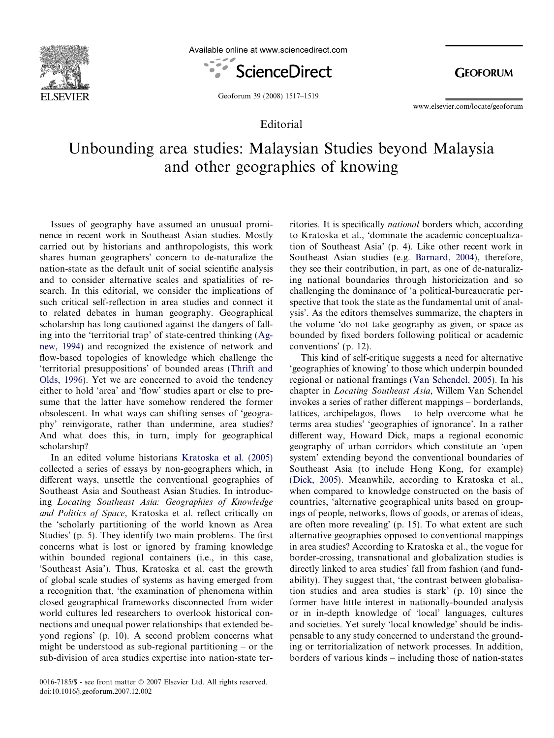

Available online at www.sciencedirect.com



**GEOFORUM** 

Geoforum 39 (2008) 1517–1519

www.elsevier.com/locate/geoforum

## Editorial

## Unbounding area studies: Malaysian Studies beyond Malaysia and other geographies of knowing

Issues of geography have assumed an unusual prominence in recent work in Southeast Asian studies. Mostly carried out by historians and anthropologists, this work shares human geographers' concern to de-naturalize the nation-state as the default unit of social scientific analysis and to consider alternative scales and spatialities of research. In this editorial, we consider the implications of such critical self-reflection in area studies and connect it to related debates in human geography. Geographical scholarship has long cautioned against the dangers of falling into the 'territorial trap' of state-centred thinking ([Ag](#page-2-0)[new, 1994\)](#page-2-0) and recognized the existence of network and flow-based topologies of knowledge which challenge the 'territorial presuppositions' of bounded areas [\(Thrift and](#page-2-0) [Olds, 1996\)](#page-2-0). Yet we are concerned to avoid the tendency either to hold 'area' and 'flow' studies apart or else to presume that the latter have somehow rendered the former obsolescent. In what ways can shifting senses of 'geography' reinvigorate, rather than undermine, area studies? And what does this, in turn, imply for geographical scholarship?

In an edited volume historians [Kratoska et al. \(2005\)](#page-2-0) collected a series of essays by non-geographers which, in different ways, unsettle the conventional geographies of Southeast Asia and Southeast Asian Studies. In introducing Locating Southeast Asia: Geographies of Knowledge and Politics of Space, Kratoska et al. reflect critically on the 'scholarly partitioning of the world known as Area Studies' (p. 5). They identify two main problems. The first concerns what is lost or ignored by framing knowledge within bounded regional containers *(i.e., in this case,* 'Southeast Asia'). Thus, Kratoska et al. cast the growth of global scale studies of systems as having emerged from a recognition that, 'the examination of phenomena within closed geographical frameworks disconnected from wider world cultures led researchers to overlook historical connections and unequal power relationships that extended beyond regions' (p. 10). A second problem concerns what might be understood as sub-regional partitioning – or the sub-division of area studies expertise into nation-state territories. It is specifically national borders which, according to Kratoska et al., 'dominate the academic conceptualization of Southeast Asia' (p. 4). Like other recent work in Southeast Asian studies (e.g. [Barnard, 2004](#page-2-0)), therefore, they see their contribution, in part, as one of de-naturalizing national boundaries through historicization and so challenging the dominance of 'a political-bureaucratic perspective that took the state as the fundamental unit of analysis'. As the editors themselves summarize, the chapters in the volume 'do not take geography as given, or space as bounded by fixed borders following political or academic conventions' (p. 12).

This kind of self-critique suggests a need for alternative 'geographies of knowing' to those which underpin bounded regional or national framings [\(Van Schendel, 2005\)](#page-2-0). In his chapter in Locating Southeast Asia, Willem Van Schendel invokes a series of rather different mappings – borderlands, lattices, archipelagos, flows – to help overcome what he terms area studies' 'geographies of ignorance'. In a rather different way, Howard Dick, maps a regional economic geography of urban corridors which constitute an 'open system' extending beyond the conventional boundaries of Southeast Asia (to include Hong Kong, for example) ([Dick, 2005\)](#page-2-0). Meanwhile, according to Kratoska et al., when compared to knowledge constructed on the basis of countries, 'alternative geographical units based on groupings of people, networks, flows of goods, or arenas of ideas, are often more revealing' (p. 15). To what extent are such alternative geographies opposed to conventional mappings in area studies? According to Kratoska et al., the vogue for border-crossing, transnational and globalization studies is directly linked to area studies' fall from fashion (and fundability). They suggest that, 'the contrast between globalisation studies and area studies is stark' (p. 10) since the former have little interest in nationally-bounded analysis or in in-depth knowledge of 'local' languages, cultures and societies. Yet surely 'local knowledge' should be indispensable to any study concerned to understand the grounding or territorialization of network processes. In addition, borders of various kinds – including those of nation-states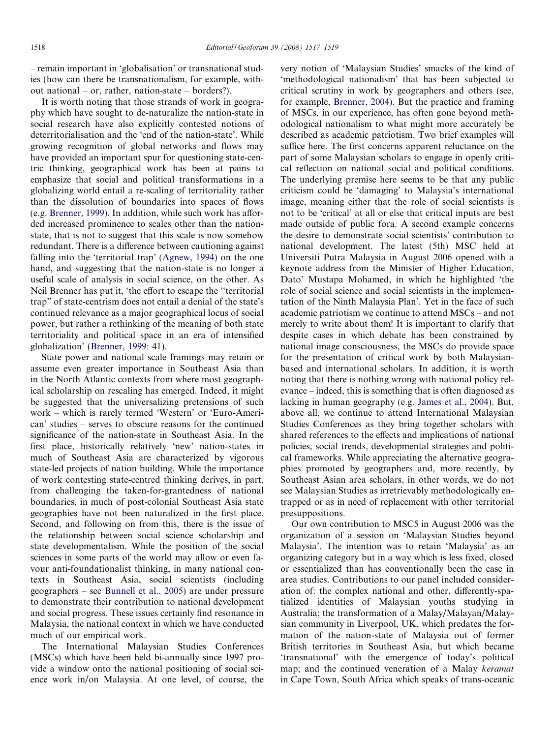– remain important in 'globalisation' or transnational studies (how can there be transnationalism, for example, without national – or, rather, nation-state – borders?).

It is worth noting that those strands of work in geography which have sought to de-naturalize the nation-state in social research have also explicitly contested notions of deterritorialisation and the 'end of the nation-state'. While growing recognition of global networks and flows may have provided an important spur for questioning state-centric thinking, geographical work has been at pains to emphasize that social and political transformations in a globalizing world entail a re-scaling of territoriality rather than the dissolution of boundaries into spaces of flows (e.g. [Brenner, 1999](#page-2-0)). In addition, while such work has afforded increased prominence to scales other than the nationstate, that is not to suggest that this scale is now somehow redundant. There is a difference between cautioning against falling into the 'territorial trap' ([Agnew, 1994\)](#page-2-0) on the one hand, and suggesting that the nation-state is no longer a useful scale of analysis in social science, on the other. As Neil Brenner has put it, 'the effort to escape the ''territorial trap" of state-centrism does not entail a denial of the state's continued relevance as a major geographical locus of social power, but rather a rethinking of the meaning of both state territoriality and political space in an era of intensified globalization' ([Brenner, 1999:](#page-2-0) 41).

State power and national scale framings may retain or assume even greater importance in Southeast Asia than in the North Atlantic contexts from where most geographical scholarship on rescaling has emerged. Indeed, it might be suggested that the universalizing pretensions of such work – which is rarely termed 'Western' or 'Euro-American' studies – serves to obscure reasons for the continued significance of the nation-state in Southeast Asia. In the first place, historically relatively 'new' nation-states in much of Southeast Asia are characterized by vigorous state-led projects of nation building. While the importance of work contesting state-centred thinking derives, in part, from challenging the taken-for-grantedness of national boundaries, in much of post-colonial Southeast Asia state geographies have not been naturalized in the first place. Second, and following on from this, there is the issue of the relationship between social science scholarship and state developmentalism. While the position of the social sciences in some parts of the world may allow or even favour anti-foundationalist thinking, in many national contexts in Southeast Asia, social scientists (including geographers – see [Bunnell et al., 2005\)](#page-2-0) are under pressure to demonstrate their contribution to national development and social progress. These issues certainly find resonance in Malaysia, the national context in which we have conducted much of our empirical work.

The International Malaysian Studies Conferences (MSCs) which have been held bi-annually since 1997 provide a window onto the national positioning of social science work in/on Malaysia. At one level, of course, the

very notion of 'Malaysian Studies' smacks of the kind of 'methodological nationalism' that has been subjected to critical scrutiny in work by geographers and others (see, for example, [Brenner, 2004\)](#page-2-0). But the practice and framing of MSCs, in our experience, has often gone beyond methodological nationalism to what might more accurately be described as academic patriotism. Two brief examples will suffice here. The first concerns apparent reluctance on the part of some Malaysian scholars to engage in openly critical reflection on national social and political conditions. The underlying premise here seems to be that any public criticism could be 'damaging' to Malaysia's international image, meaning either that the role of social scientists is not to be 'critical' at all or else that critical inputs are best made outside of public fora. A second example concerns the desire to demonstrate social scientists' contribution to national development. The latest (5th) MSC held at Universiti Putra Malaysia in August 2006 opened with a keynote address from the Minister of Higher Education, Dato' Mustapa Mohamed, in which he highlighted 'the role of social science and social scientists in the implementation of the Ninth Malaysia Plan'. Yet in the face of such academic patriotism we continue to attend MSCs – and not merely to write about them! It is important to clarify that despite cases in which debate has been constrained by national image consciousness, the MSCs do provide space for the presentation of critical work by both Malaysianbased and international scholars. In addition, it is worth noting that there is nothing wrong with national policy relevance – indeed, this is something that is often diagnosed as lacking in human geography (e.g. [James et al., 2004](#page-2-0)). But, above all, we continue to attend International Malaysian Studies Conferences as they bring together scholars with shared references to the effects and implications of national policies, social trends, developmental strategies and political frameworks. While appreciating the alternative geographies promoted by geographers and, more recently, by Southeast Asian area scholars, in other words, we do not see Malaysian Studies as irretrievably methodologically entrapped or as in need of replacement with other territorial presuppositions.

Our own contribution to MSC5 in August 2006 was the organization of a session on 'Malaysian Studies beyond Malaysia'. The intention was to retain 'Malaysia' as an organizing category but in a way which is less fixed, closed or essentialized than has conventionally been the case in area studies. Contributions to our panel included consideration of: the complex national and other, differently-spatialized identities of Malaysian youths studying in Australia; the transformation of a Malay/Malayan/Malaysian community in Liverpool, UK, which predates the formation of the nation-state of Malaysia out of former British territories in Southeast Asia, but which became 'transnational' with the emergence of today's political map; and the continued veneration of a Malay keramat in Cape Town, South Africa which speaks of trans-oceanic